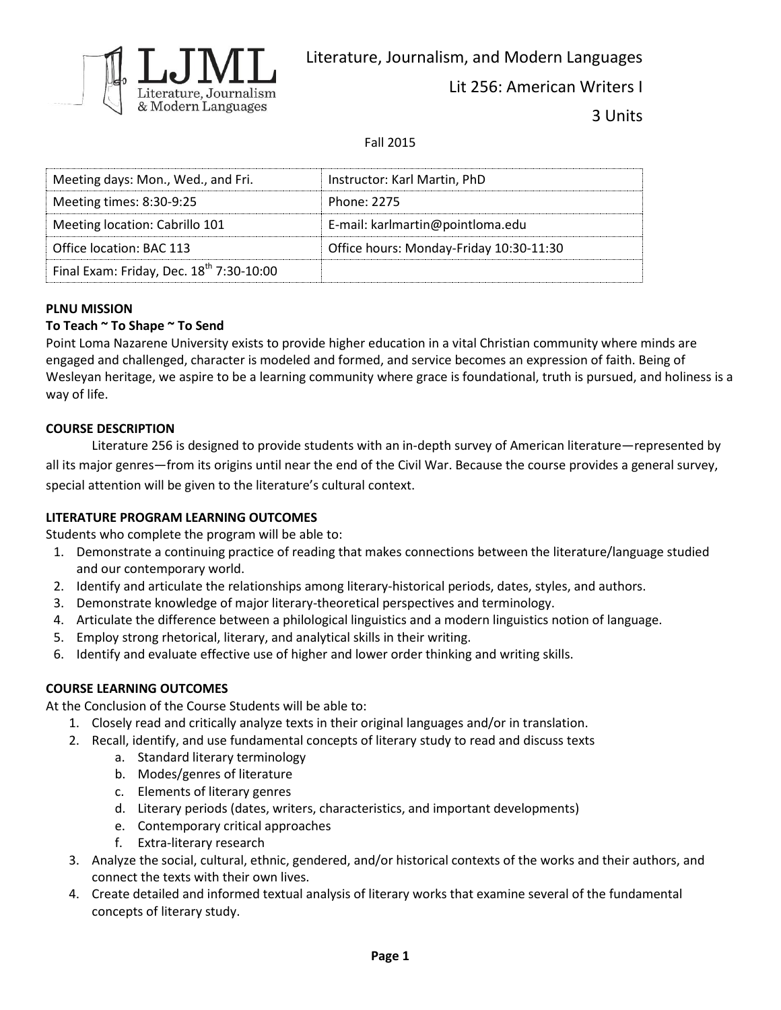

Literature, Journalism, and Modern Languages

Lit 256: American Writers I

3 Units

Fall 2015

| Meeting days: Mon., Wed., and Fri.                   | Instructor: Karl Martin, PhD            |
|------------------------------------------------------|-----------------------------------------|
| Meeting times: 8:30-9:25                             | Phone: 2275                             |
| Meeting location: Cabrillo 101                       | E-mail: karlmartin@pointloma.edu        |
| Office location: BAC 113                             | Office hours: Monday-Friday 10:30-11:30 |
| Final Exam: Friday, Dec. 18 <sup>th</sup> 7:30-10:00 |                                         |

### **PLNU MISSION**

# **To Teach ~ To Shape ~ To Send**

Point Loma Nazarene University exists to provide higher education in a vital Christian community where minds are engaged and challenged, character is modeled and formed, and service becomes an expression of faith. Being of Wesleyan heritage, we aspire to be a learning community where grace is foundational, truth is pursued, and holiness is a way of life.

#### **COURSE DESCRIPTION**

Literature 256 is designed to provide students with an in-depth survey of American literature—represented by all its major genres—from its origins until near the end of the Civil War. Because the course provides a general survey, special attention will be given to the literature's cultural context.

#### **LITERATURE PROGRAM LEARNING OUTCOMES**

Students who complete the program will be able to:

- 1. Demonstrate a continuing practice of reading that makes connections between the literature/language studied and our contemporary world.
- 2. Identify and articulate the relationships among literary-historical periods, dates, styles, and authors.
- 3. Demonstrate knowledge of major literary-theoretical perspectives and terminology.
- 4. Articulate the difference between a philological linguistics and a modern linguistics notion of language.
- 5. Employ strong rhetorical, literary, and analytical skills in their writing.
- 6. Identify and evaluate effective use of higher and lower order thinking and writing skills.

#### **COURSE LEARNING OUTCOMES**

At the Conclusion of the Course Students will be able to:

- 1. Closely read and critically analyze texts in their original languages and/or in translation.
- 2. Recall, identify, and use fundamental concepts of literary study to read and discuss texts
	- a. Standard literary terminology
	- b. Modes/genres of literature
	- c. Elements of literary genres
	- d. Literary periods (dates, writers, characteristics, and important developments)
	- e. Contemporary critical approaches
	- f. Extra-literary research
- 3. Analyze the social, cultural, ethnic, gendered, and/or historical contexts of the works and their authors, and connect the texts with their own lives.
- 4. Create detailed and informed textual analysis of literary works that examine several of the fundamental concepts of literary study.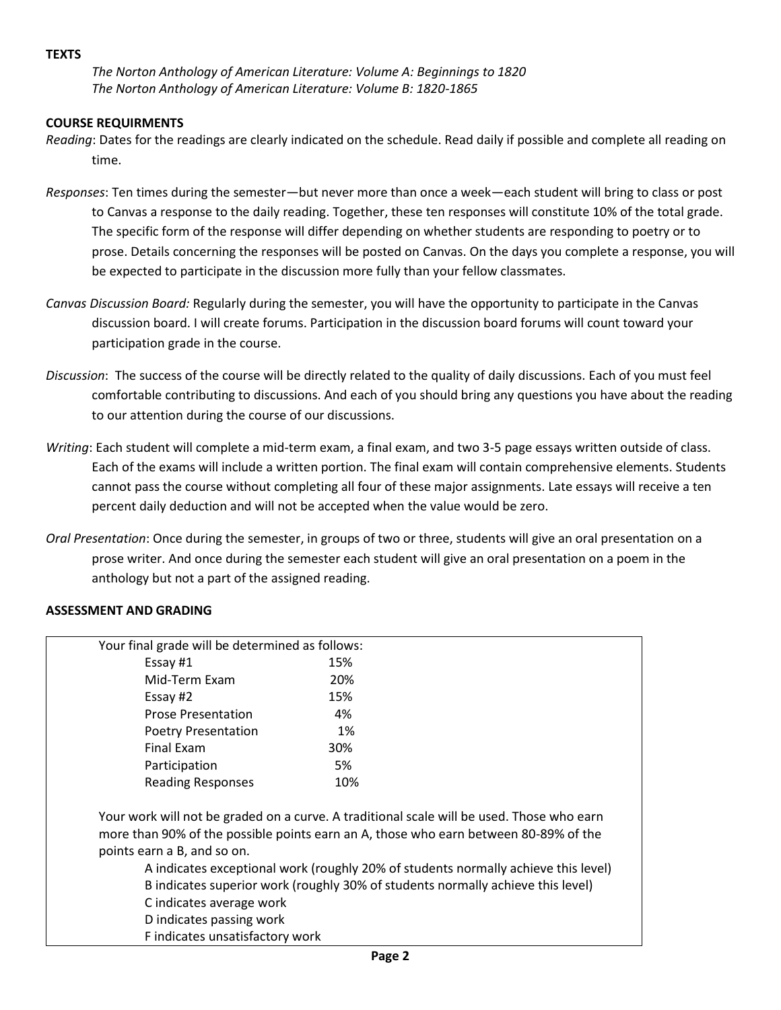#### **TEXTS**

*The Norton Anthology of American Literature: Volume A: Beginnings to 1820 The Norton Anthology of American Literature: Volume B: 1820-1865*

#### **COURSE REQUIRMENTS**

- *Reading*: Dates for the readings are clearly indicated on the schedule. Read daily if possible and complete all reading on time.
- *Responses*: Ten times during the semester—but never more than once a week—each student will bring to class or post to Canvas a response to the daily reading. Together, these ten responses will constitute 10% of the total grade. The specific form of the response will differ depending on whether students are responding to poetry or to prose. Details concerning the responses will be posted on Canvas. On the days you complete a response, you will be expected to participate in the discussion more fully than your fellow classmates.
- *Canvas Discussion Board:* Regularly during the semester, you will have the opportunity to participate in the Canvas discussion board. I will create forums. Participation in the discussion board forums will count toward your participation grade in the course.
- *Discussion*: The success of the course will be directly related to the quality of daily discussions. Each of you must feel comfortable contributing to discussions. And each of you should bring any questions you have about the reading to our attention during the course of our discussions.
- *Writing*: Each student will complete a mid-term exam, a final exam, and two 3-5 page essays written outside of class. Each of the exams will include a written portion. The final exam will contain comprehensive elements. Students cannot pass the course without completing all four of these major assignments. Late essays will receive a ten percent daily deduction and will not be accepted when the value would be zero.
- *Oral Presentation*: Once during the semester, in groups of two or three, students will give an oral presentation on a prose writer. And once during the semester each student will give an oral presentation on a poem in the anthology but not a part of the assigned reading.

#### **ASSESSMENT AND GRADING**

| Your final grade will be determined as follows:                                                                        |                                                                                                                                                                                                                                                                                                                                                            |
|------------------------------------------------------------------------------------------------------------------------|------------------------------------------------------------------------------------------------------------------------------------------------------------------------------------------------------------------------------------------------------------------------------------------------------------------------------------------------------------|
| Essay #1                                                                                                               | 15%                                                                                                                                                                                                                                                                                                                                                        |
| Mid-Term Exam                                                                                                          | 20%                                                                                                                                                                                                                                                                                                                                                        |
| Essay #2                                                                                                               | 15%                                                                                                                                                                                                                                                                                                                                                        |
| <b>Prose Presentation</b>                                                                                              | 4%                                                                                                                                                                                                                                                                                                                                                         |
| <b>Poetry Presentation</b>                                                                                             | 1%                                                                                                                                                                                                                                                                                                                                                         |
| Final Exam                                                                                                             | 30%                                                                                                                                                                                                                                                                                                                                                        |
| Participation                                                                                                          | 5%                                                                                                                                                                                                                                                                                                                                                         |
| <b>Reading Responses</b>                                                                                               | 10%                                                                                                                                                                                                                                                                                                                                                        |
| points earn a B, and so on.<br>C indicates average work<br>D indicates passing work<br>F indicates unsatisfactory work | Your work will not be graded on a curve. A traditional scale will be used. Those who earn<br>more than 90% of the possible points earn an A, those who earn between 80-89% of the<br>A indicates exceptional work (roughly 20% of students normally achieve this level)<br>B indicates superior work (roughly 30% of students normally achieve this level) |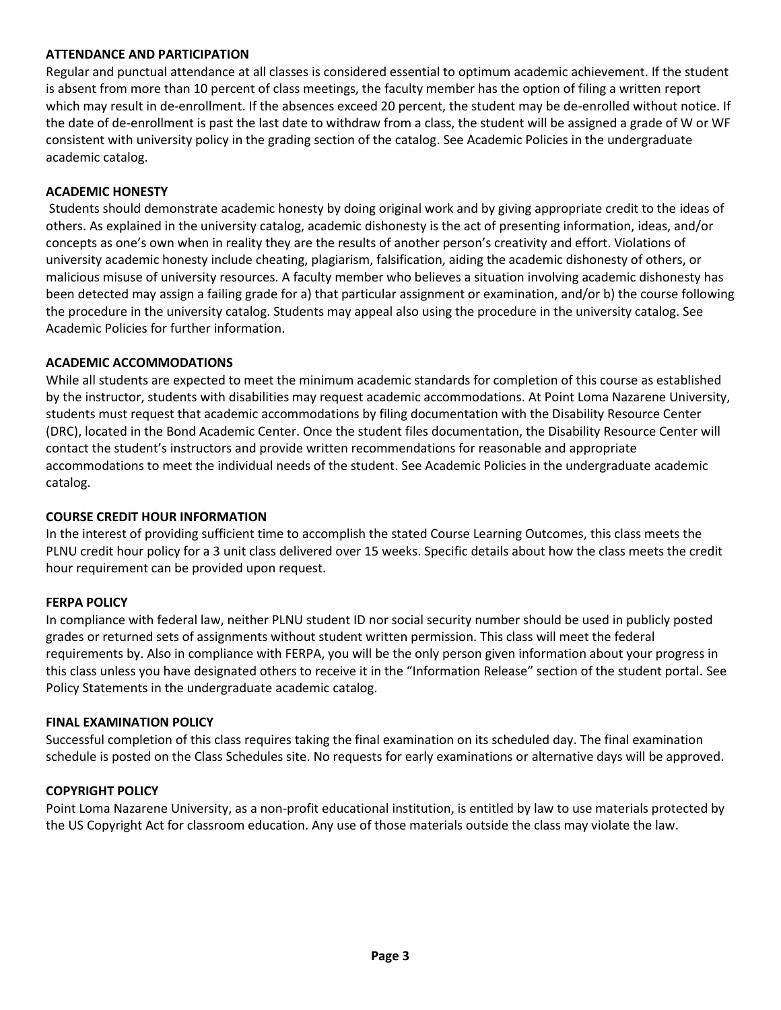#### **ATTENDANCE AND PARTICIPATION**

Regular and punctual attendance at all classes is considered essential to optimum academic achievement. If the student is absent from more than 10 percent of class meetings, the faculty member has the option of filing a written report which may result in de-enrollment. If the absences exceed 20 percent, the student may be de-enrolled without notice. If the date of de-enrollment is past the last date to withdraw from a class, the student will be assigned a grade of W or WF consistent with university policy in the grading section of the catalog. See Academic Policies in the undergraduate academic catalog.

## **ACADEMIC HONESTY**

Students should demonstrate academic honesty by doing original work and by giving appropriate credit to the ideas of others. As explained in the university catalog, academic dishonesty is the act of presenting information, ideas, and/or concepts as one's own when in reality they are the results of another person's creativity and effort. Violations of university academic honesty include cheating, plagiarism, falsification, aiding the academic dishonesty of others, or malicious misuse of university resources. A faculty member who believes a situation involving academic dishonesty has been detected may assign a failing grade for a) that particular assignment or examination, and/or b) the course following the procedure in the university catalog. Students may appeal also using the procedure in the university catalog. See Academic Policies for further information.

#### **ACADEMIC ACCOMMODATIONS**

While all students are expected to meet the minimum academic standards for completion of this course as established by the instructor, students with disabilities may request academic accommodations. At Point Loma Nazarene University, students must request that academic accommodations by filing documentation with the Disability Resource Center (DRC), located in the Bond Academic Center. Once the student files documentation, the Disability Resource Center will contact the student's instructors and provide written recommendations for reasonable and appropriate accommodations to meet the individual needs of the student. See Academic Policies in the undergraduate academic catalog.

#### **COURSE CREDIT HOUR INFORMATION**

In the interest of providing sufficient time to accomplish the stated Course Learning Outcomes, this class meets the PLNU credit hour policy for a 3 unit class delivered over 15 weeks. Specific details about how the class meets the credit hour requirement can be provided upon request.

# **FERPA POLICY**

In compliance with federal law, neither PLNU student ID nor social security number should be used in publicly posted grades or returned sets of assignments without student written permission. This class will meet the federal requirements by. Also in compliance with FERPA, you will be the only person given information about your progress in this class unless you have designated others to receive it in the "Information Release" section of the student portal. See Policy Statements in the undergraduate academic catalog.

#### **FINAL EXAMINATION POLICY**

Successful completion of this class requires taking the final examination on its scheduled day. The final examination schedule is posted on the Class Schedules site. No requests for early examinations or alternative days will be approved.

#### **COPYRIGHT POLICY**

Point Loma Nazarene University, as a non-profit educational institution, is entitled by law to use materials protected by the US Copyright Act for classroom education. Any use of those materials outside the class may violate the law.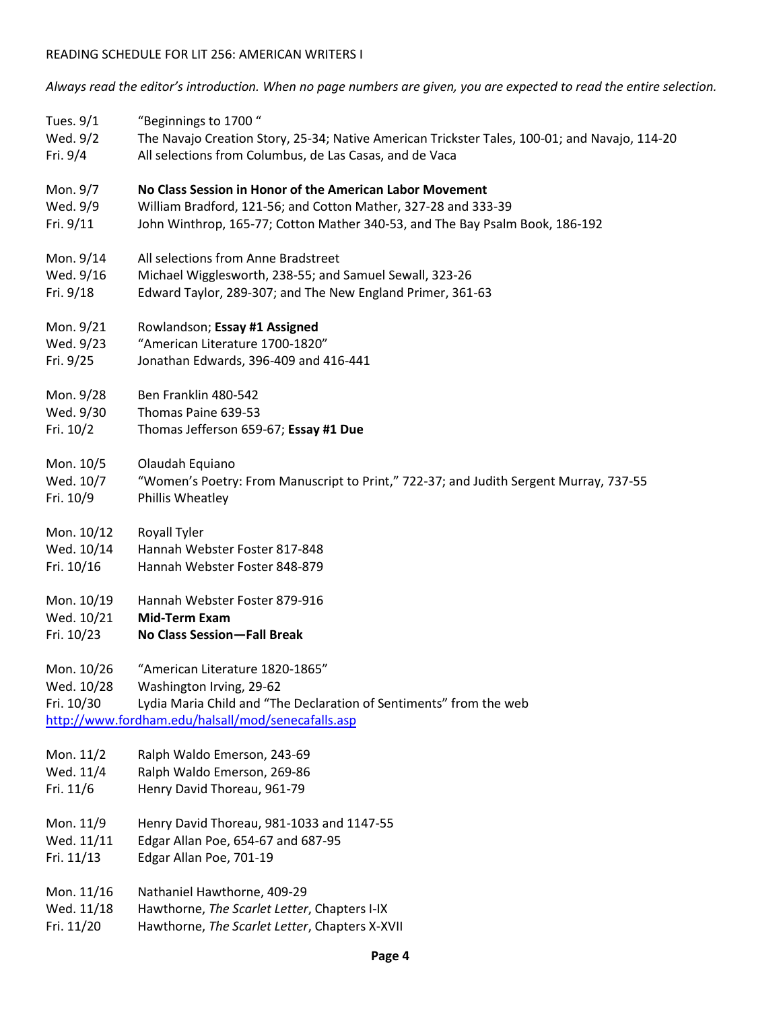# READING SCHEDULE FOR LIT 256: AMERICAN WRITERS I

*Always read the editor's introduction. When no page numbers are given, you are expected to read the entire selection.*

| Tues. 9/1                              | "Beginnings to 1700"                                                                                                                                                                    |
|----------------------------------------|-----------------------------------------------------------------------------------------------------------------------------------------------------------------------------------------|
| Wed. 9/2                               | The Navajo Creation Story, 25-34; Native American Trickster Tales, 100-01; and Navajo, 114-20                                                                                           |
| Fri. 9/4                               | All selections from Columbus, de Las Casas, and de Vaca                                                                                                                                 |
| Mon. 9/7                               | No Class Session in Honor of the American Labor Movement                                                                                                                                |
| Wed. 9/9                               | William Bradford, 121-56; and Cotton Mather, 327-28 and 333-39                                                                                                                          |
| Fri. 9/11                              | John Winthrop, 165-77; Cotton Mather 340-53, and The Bay Psalm Book, 186-192                                                                                                            |
| Mon. 9/14                              | All selections from Anne Bradstreet                                                                                                                                                     |
| Wed. 9/16                              | Michael Wigglesworth, 238-55; and Samuel Sewall, 323-26                                                                                                                                 |
| Fri. 9/18                              | Edward Taylor, 289-307; and The New England Primer, 361-63                                                                                                                              |
| Mon. 9/21                              | Rowlandson; Essay #1 Assigned                                                                                                                                                           |
| Wed. 9/23                              | "American Literature 1700-1820"                                                                                                                                                         |
| Fri. 9/25                              | Jonathan Edwards, 396-409 and 416-441                                                                                                                                                   |
| Mon. 9/28                              | Ben Franklin 480-542                                                                                                                                                                    |
| Wed. 9/30                              | Thomas Paine 639-53                                                                                                                                                                     |
| Fri. 10/2                              | Thomas Jefferson 659-67; Essay #1 Due                                                                                                                                                   |
| Mon. 10/5                              | Olaudah Equiano                                                                                                                                                                         |
| Wed. 10/7                              | "Women's Poetry: From Manuscript to Print," 722-37; and Judith Sergent Murray, 737-55                                                                                                   |
| Fri. 10/9                              | Phillis Wheatley                                                                                                                                                                        |
| Mon. 10/12                             | Royall Tyler                                                                                                                                                                            |
| Wed. 10/14                             | Hannah Webster Foster 817-848                                                                                                                                                           |
| Fri. 10/16                             | Hannah Webster Foster 848-879                                                                                                                                                           |
| Mon. 10/19                             | Hannah Webster Foster 879-916                                                                                                                                                           |
| Wed. 10/21                             | <b>Mid-Term Exam</b>                                                                                                                                                                    |
| Fri. 10/23                             | No Class Session-Fall Break                                                                                                                                                             |
| Mon. 10/26<br>Wed. 10/28<br>Fri. 10/30 | "American Literature 1820-1865"<br>Washington Irving, 29-62<br>Lydia Maria Child and "The Declaration of Sentiments" from the web<br>http://www.fordham.edu/halsall/mod/senecafalls.asp |
| Mon. 11/2                              | Ralph Waldo Emerson, 243-69                                                                                                                                                             |
| Wed. 11/4                              | Ralph Waldo Emerson, 269-86                                                                                                                                                             |
| Fri. 11/6                              | Henry David Thoreau, 961-79                                                                                                                                                             |
| Mon. 11/9                              | Henry David Thoreau, 981-1033 and 1147-55                                                                                                                                               |
| Wed. 11/11                             | Edgar Allan Poe, 654-67 and 687-95                                                                                                                                                      |
| Fri. 11/13                             | Edgar Allan Poe, 701-19                                                                                                                                                                 |
| Mon. 11/16                             | Nathaniel Hawthorne, 409-29                                                                                                                                                             |
| Wed. 11/18                             | Hawthorne, The Scarlet Letter, Chapters I-IX                                                                                                                                            |
| Fri. 11/20                             | Hawthorne, The Scarlet Letter, Chapters X-XVII                                                                                                                                          |